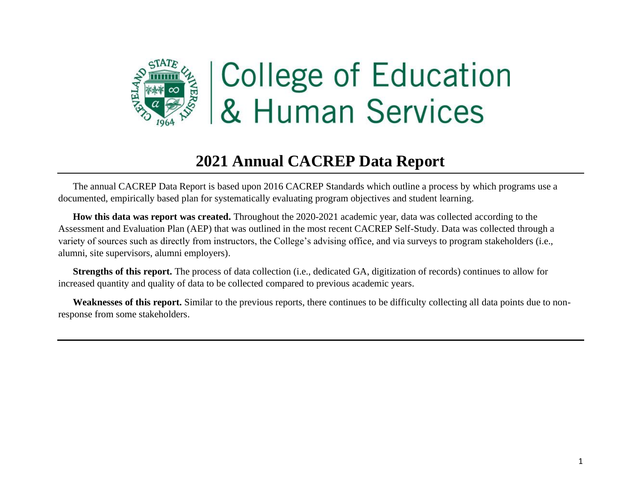

# **2021 Annual CACREP Data Report**

The annual CACREP Data Report is based upon 2016 CACREP Standards which outline a process by which programs use a documented, empirically based plan for systematically evaluating program objectives and student learning.

**How this data was report was created.** Throughout the 2020-2021 academic year, data was collected according to the Assessment and Evaluation Plan (AEP) that was outlined in the most recent CACREP Self-Study. Data was collected through a variety of sources such as directly from instructors, the College's advising office, and via surveys to program stakeholders (i.e., alumni, site supervisors, alumni employers).

**Strengths of this report.** The process of data collection (i.e., dedicated GA, digitization of records) continues to allow for increased quantity and quality of data to be collected compared to previous academic years.

**Weaknesses of this report.** Similar to the previous reports, there continues to be difficulty collecting all data points due to nonresponse from some stakeholders.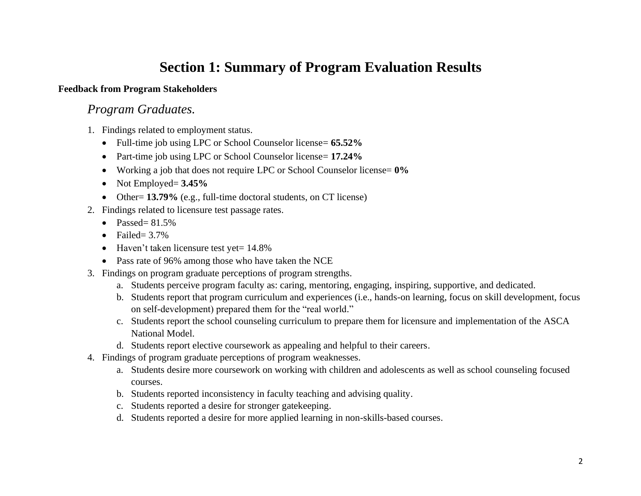# **Section 1: Summary of Program Evaluation Results**

#### **Feedback from Program Stakeholders**

## *Program Graduates.*

- 1. Findings related to employment status.
	- Full-time job using LPC or School Counselor license= **65.52%**
	- Part-time job using LPC or School Counselor license= **17.24%**
	- Working a job that does not require LPC or School Counselor license= **0%**
	- Not Employed= **3.45%**
	- Other= **13.79%** (e.g., full-time doctoral students, on CT license)
- 2. Findings related to licensure test passage rates.
	- Passed=  $81.5\%$
	- Failed=  $3.7\%$
	- Haven't taken licensure test yet = 14.8%
	- Pass rate of 96% among those who have taken the NCE
- 3. Findings on program graduate perceptions of program strengths.
	- a. Students perceive program faculty as: caring, mentoring, engaging, inspiring, supportive, and dedicated.
	- b. Students report that program curriculum and experiences (i.e., hands-on learning, focus on skill development, focus on self-development) prepared them for the "real world."
	- c. Students report the school counseling curriculum to prepare them for licensure and implementation of the ASCA National Model.
	- d. Students report elective coursework as appealing and helpful to their careers.
- 4. Findings of program graduate perceptions of program weaknesses.
	- a. Students desire more coursework on working with children and adolescents as well as school counseling focused courses.
	- b. Students reported inconsistency in faculty teaching and advising quality.
	- c. Students reported a desire for stronger gatekeeping.
	- d. Students reported a desire for more applied learning in non-skills-based courses.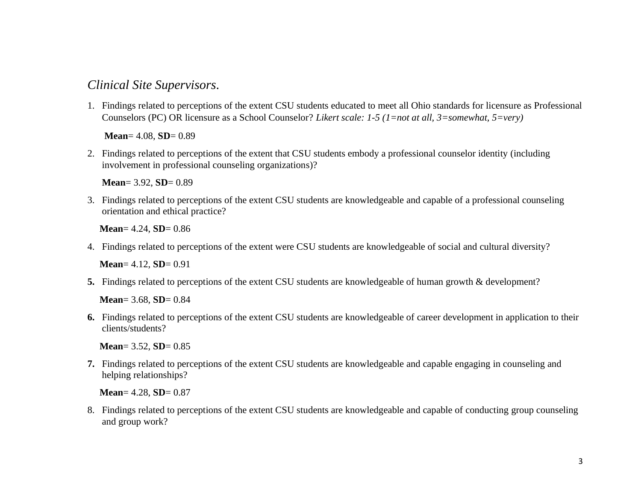## *Clinical Site Supervisors.*

1. Findings related to perceptions of the extent CSU students educated to meet all Ohio standards for licensure as Professional Counselors (PC) OR licensure as a School Counselor? *Likert scale: 1-5 (1=not at all, 3=somewhat, 5=very)*

 **Mean**= 4.08, **SD**= 0.89

2. Findings related to perceptions of the extent that CSU students embody a professional counselor identity (including involvement in professional counseling organizations)?

 **Mean**= 3.92, **SD**= 0.89

3. Findings related to perceptions of the extent CSU students are knowledgeable and capable of a professional counseling orientation and ethical practice?

**Mean**= 4.24, **SD**= 0.86

4. Findings related to perceptions of the extent were CSU students are knowledgeable of social and cultural diversity?

 **Mean**= 4.12, **SD**= 0.91

**5.** Findings related to perceptions of the extent CSU students are knowledgeable of human growth & development?

 **Mean**= 3.68, **SD**= 0.84

**6.** Findings related to perceptions of the extent CSU students are knowledgeable of career development in application to their clients/students?

 **Mean**= 3.52, **SD**= 0.85

**7.** Findings related to perceptions of the extent CSU students are knowledgeable and capable engaging in counseling and helping relationships?

 **Mean**= 4.28, **SD**= 0.87

8. Findings related to perceptions of the extent CSU students are knowledgeable and capable of conducting group counseling and group work?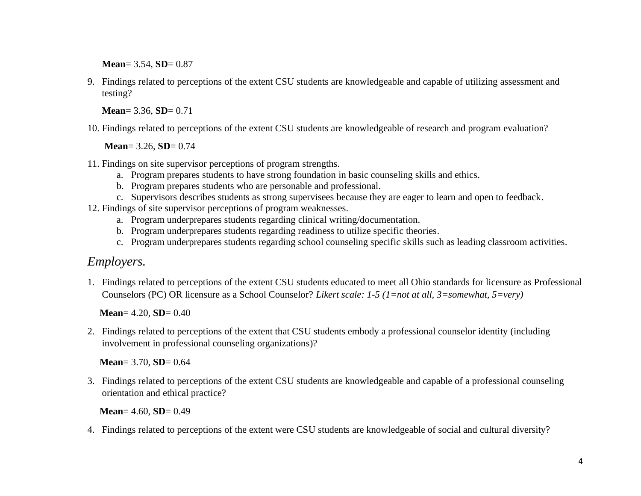**Mean**= 3.54, **SD**= 0.87

9. Findings related to perceptions of the extent CSU students are knowledgeable and capable of utilizing assessment and testing?

 **Mean**= 3.36, **SD**= 0.71

10. Findings related to perceptions of the extent CSU students are knowledgeable of research and program evaluation?

 **Mean**= 3.26, **SD**= 0.74

- 11. Findings on site supervisor perceptions of program strengths.
	- a. Program prepares students to have strong foundation in basic counseling skills and ethics.
	- b. Program prepares students who are personable and professional.
	- c. Supervisors describes students as strong supervisees because they are eager to learn and open to feedback.
- 12. Findings of site supervisor perceptions of program weaknesses.
	- a. Program underprepares students regarding clinical writing/documentation.
	- b. Program underprepares students regarding readiness to utilize specific theories.
	- c. Program underprepares students regarding school counseling specific skills such as leading classroom activities.

## *Employers.*

1. Findings related to perceptions of the extent CSU students educated to meet all Ohio standards for licensure as Professional Counselors (PC) OR licensure as a School Counselor? *Likert scale: 1-5 (1=not at all, 3=somewhat, 5=very)*

**Mean**= 4.20, **SD**= 0.40

2. Findings related to perceptions of the extent that CSU students embody a professional counselor identity (including involvement in professional counseling organizations)?

**Mean**= 3.70, **SD**= 0.64

3. Findings related to perceptions of the extent CSU students are knowledgeable and capable of a professional counseling orientation and ethical practice?

**Mean**= 4.60, **SD**= 0.49

4. Findings related to perceptions of the extent were CSU students are knowledgeable of social and cultural diversity?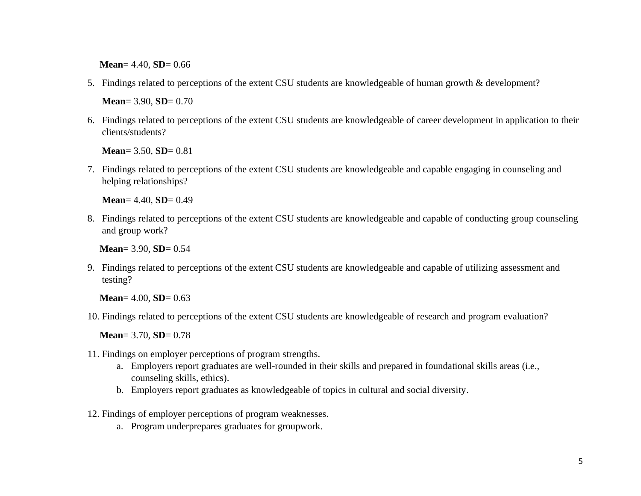**Mean**= 4.40, **SD**= 0.66

5. Findings related to perceptions of the extent CSU students are knowledgeable of human growth & development?

**Mean**= 3.90, **SD**= 0.70

6. Findings related to perceptions of the extent CSU students are knowledgeable of career development in application to their clients/students?

**Mean**= 3.50, **SD**= 0.81

7. Findings related to perceptions of the extent CSU students are knowledgeable and capable engaging in counseling and helping relationships?

**Mean**= 4.40, **SD**= 0.49

8. Findings related to perceptions of the extent CSU students are knowledgeable and capable of conducting group counseling and group work?

**Mean**= 3.90, **SD**= 0.54

9. Findings related to perceptions of the extent CSU students are knowledgeable and capable of utilizing assessment and testing?

**Mean**= 4.00, **SD**= 0.63

10. Findings related to perceptions of the extent CSU students are knowledgeable of research and program evaluation?

**Mean**= 3.70, **SD**= 0.78

- 11. Findings on employer perceptions of program strengths.
	- a. Employers report graduates are well-rounded in their skills and prepared in foundational skills areas (i.e., counseling skills, ethics).
	- b. Employers report graduates as knowledgeable of topics in cultural and social diversity.
- 12. Findings of employer perceptions of program weaknesses.
	- a. Program underprepares graduates for groupwork.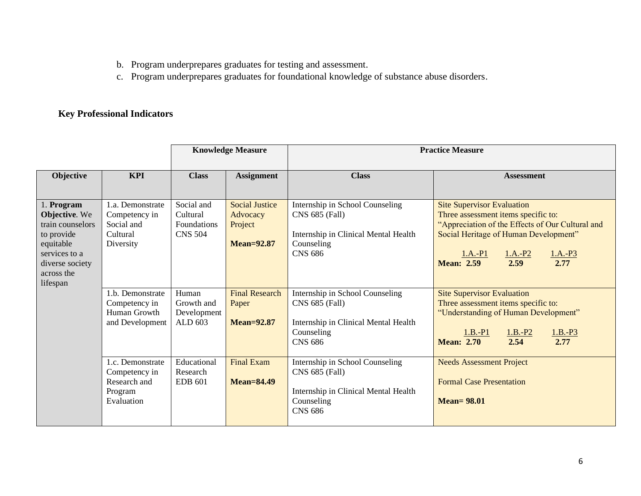- b. Program underprepares graduates for testing and assessment.
- c. Program underprepares graduates for foundational knowledge of substance abuse disorders.

## **Key Professional Indicators**

|                                                                                                                                          |                                                                                              | <b>Knowledge Measure</b>                                         |                                                                                            | <b>Practice Measure</b>                                                                                                                                      |                                                                                                                                                                                                                                                   |  |  |
|------------------------------------------------------------------------------------------------------------------------------------------|----------------------------------------------------------------------------------------------|------------------------------------------------------------------|--------------------------------------------------------------------------------------------|--------------------------------------------------------------------------------------------------------------------------------------------------------------|---------------------------------------------------------------------------------------------------------------------------------------------------------------------------------------------------------------------------------------------------|--|--|
| Objective                                                                                                                                | <b>KPI</b>                                                                                   | <b>Class</b>                                                     | <b>Assignment</b>                                                                          | <b>Class</b>                                                                                                                                                 | <b>Assessment</b>                                                                                                                                                                                                                                 |  |  |
| 1. Program<br>Objective. We<br>train counselors<br>to provide<br>equitable<br>services to a<br>diverse society<br>across the<br>lifespan | 1.a. Demonstrate<br>Competency in<br>Social and<br>Cultural<br>Diversity<br>1.b. Demonstrate | Social and<br>Cultural<br>Foundations<br><b>CNS 504</b><br>Human | <b>Social Justice</b><br>Advocacy<br>Project<br><b>Mean=92.87</b><br><b>Final Research</b> | Internship in School Counseling<br>CNS 685 (Fall)<br>Internship in Clinical Mental Health<br>Counseling<br><b>CNS 686</b><br>Internship in School Counseling | <b>Site Supervisor Evaluation</b><br>Three assessment items specific to:<br>"Appreciation of the Effects of Our Cultural and<br>Social Heritage of Human Development"<br>$1.A.-P3$<br>$1.A.-P1$<br>$1.A.-P2$<br>2.59<br>2.77<br><b>Mean: 2.59</b> |  |  |
|                                                                                                                                          | Competency in<br>Human Growth<br>and Development                                             | Growth and<br>Development<br>ALD 603                             | Paper<br><b>Mean=92.87</b>                                                                 | CNS 685 (Fall)<br>Internship in Clinical Mental Health<br>Counseling<br><b>CNS 686</b>                                                                       | <b>Site Supervisor Evaluation</b><br>Three assessment items specific to:<br>"Understanding of Human Development"<br>$1.B.-P1$<br>$1.B.-P3$<br>$1.B.-P2$<br>2.54<br><b>Mean: 2.70</b><br>2.77                                                      |  |  |
|                                                                                                                                          | 1.c. Demonstrate<br>Competency in<br>Research and<br>Program<br>Evaluation                   | Educational<br>Research<br><b>EDB 601</b>                        | <b>Final Exam</b><br><b>Mean=84.49</b>                                                     | Internship in School Counseling<br>CNS 685 (Fall)<br>Internship in Clinical Mental Health<br>Counseling<br><b>CNS 686</b>                                    | <b>Needs Assessment Project</b><br><b>Formal Case Presentation</b><br>$Mean = 98.01$                                                                                                                                                              |  |  |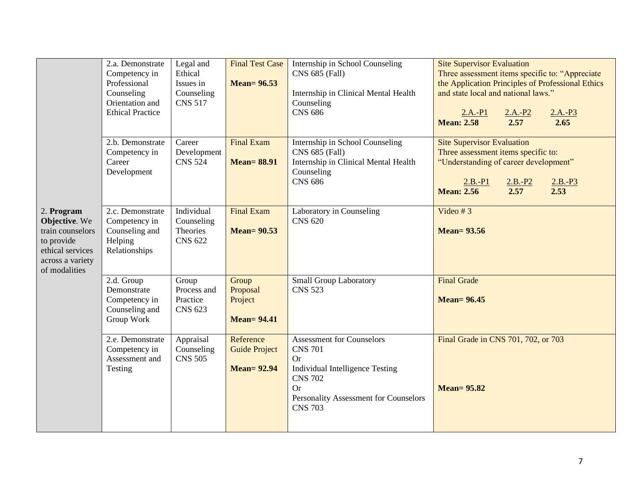| 2. Program<br>Objective. We<br>train counselors<br>to provide<br>ethical services<br>across a variety<br>of modalities | 2.a. Demonstrate<br>Competency in<br>Professional<br>Counseling<br>Orientation and<br><b>Ethical Practice</b> | Legal and<br>Ethical<br>Issues in<br>Counseling<br><b>CNS 517</b> | <b>Final Test Case</b><br><b>Mean= 96.53</b>            | Internship in School Counseling<br>CNS 685 (Fall)<br>Internship in Clinical Mental Health<br>Counseling<br><b>CNS 686</b>                                                                           | <b>Site Supervisor Evaluation</b><br>Three assessment items specific to: "Appreciate<br>the Application Principles of Professional Ethics<br>and state local and national laws."<br>$2.A.-P2$<br>$2.A.-P1$<br>$\frac{2.A.-P3}{2.65}$<br>2.57<br><b>Mean: 2.58</b> |
|------------------------------------------------------------------------------------------------------------------------|---------------------------------------------------------------------------------------------------------------|-------------------------------------------------------------------|---------------------------------------------------------|-----------------------------------------------------------------------------------------------------------------------------------------------------------------------------------------------------|-------------------------------------------------------------------------------------------------------------------------------------------------------------------------------------------------------------------------------------------------------------------|
|                                                                                                                        | 2.b. Demonstrate<br>Competency in<br>Career<br>Development                                                    | Career<br>Development<br><b>CNS 524</b>                           | <b>Final Exam</b><br><b>Mean=88.91</b>                  | Internship in School Counseling<br>CNS 685 (Fall)<br>Internship in Clinical Mental Health<br>Counseling<br><b>CNS 686</b>                                                                           | <b>Site Supervisor Evaluation</b><br>Three assessment items specific to:<br>"Understanding of career development"<br>$2.B.-P3$<br>$2.B.-P1$<br>$2.B.-P2$<br>2.57<br>2.53<br><b>Mean: 2.56</b>                                                                     |
|                                                                                                                        | 2.c. Demonstrate<br>Competency in<br>Counseling and<br>Helping<br>Relationships                               | Individual<br>Counseling<br>Theories<br><b>CNS 622</b>            | <b>Final Exam</b><br><b>Mean= 90.53</b>                 | Laboratory in Counseling<br><b>CNS 620</b>                                                                                                                                                          | Video # $3$<br><b>Mean=93.56</b>                                                                                                                                                                                                                                  |
|                                                                                                                        | 2.d. Group<br>Demonstrate<br>Competency in<br>Counseling and<br>Group Work                                    | Group<br>Process and<br>Practice<br><b>CNS 623</b>                | Group<br>Proposal<br>Project<br><b>Mean= 94.41</b>      | <b>Small Group Laboratory</b><br><b>CNS 523</b>                                                                                                                                                     | <b>Final Grade</b><br><b>Mean= 96.45</b>                                                                                                                                                                                                                          |
|                                                                                                                        | 2.e. Demonstrate<br>Competency in<br>Assessment and<br>Testing                                                | Appraisal<br>Counseling<br><b>CNS 505</b>                         | Reference<br><b>Guide Project</b><br><b>Mean= 92.94</b> | <b>Assessment for Counselors</b><br><b>CNS 701</b><br><b>Or</b><br><b>Individual Intelligence Testing</b><br><b>CNS 702</b><br><b>Or</b><br>Personality Assessment for Counselors<br><b>CNS 703</b> | Final Grade in CNS 701, 702, or 703<br><b>Mean=95.82</b>                                                                                                                                                                                                          |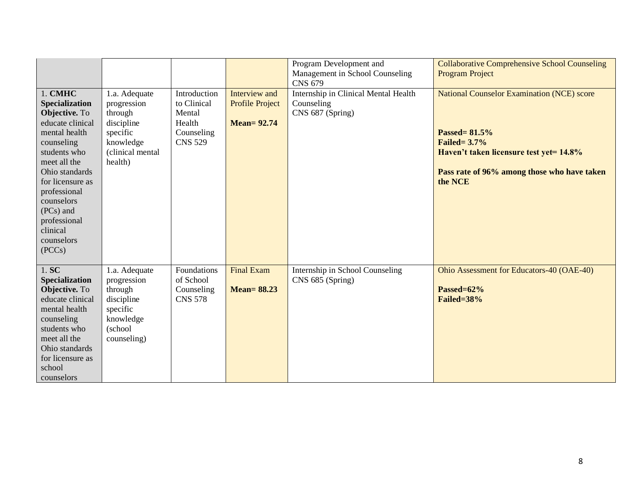|                                                                                                                                                                                                                                                                    |                                                                                                               |                                                                                 |                                                              | Program Development and<br>Management in School Counseling<br><b>CNS 679</b> | <b>Collaborative Comprehensive School Counseling</b><br><b>Program Project</b>                                                                                                                |
|--------------------------------------------------------------------------------------------------------------------------------------------------------------------------------------------------------------------------------------------------------------------|---------------------------------------------------------------------------------------------------------------|---------------------------------------------------------------------------------|--------------------------------------------------------------|------------------------------------------------------------------------------|-----------------------------------------------------------------------------------------------------------------------------------------------------------------------------------------------|
| 1. CMHC<br>Specialization<br>Objective. To<br>educate clinical<br>mental health<br>counseling<br>students who<br>meet all the<br>Ohio standards<br>for licensure as<br>professional<br>counselors<br>(PCs) and<br>professional<br>clinical<br>counselors<br>(PCCs) | 1.a. Adequate<br>progression<br>through<br>discipline<br>specific<br>knowledge<br>(clinical mental<br>health) | Introduction<br>to Clinical<br>Mental<br>Health<br>Counseling<br><b>CNS 529</b> | Interview and<br><b>Profile Project</b><br><b>Mean=92.74</b> | Internship in Clinical Mental Health<br>Counseling<br>CNS 687 (Spring)       | <b>National Counselor Examination (NCE) score</b><br>Passed=81.5%<br><b>Failed=3.7%</b><br>Haven't taken licensure test yet = 14.8%<br>Pass rate of 96% among those who have taken<br>the NCE |
| 1. S C<br>Specialization<br>Objective. To<br>educate clinical<br>mental health<br>counseling<br>students who<br>meet all the<br>Ohio standards<br>for licensure as<br>school<br>counselors                                                                         | 1.a. Adequate<br>progression<br>through<br>discipline<br>specific<br>knowledge<br>(school<br>counseling)      | Foundations<br>of School<br>Counseling<br><b>CNS 578</b>                        | <b>Final Exam</b><br><b>Mean=88.23</b>                       | Internship in School Counseling<br>CNS 685 (Spring)                          | Ohio Assessment for Educators-40 (OAE-40)<br>Passed=62%<br>Failed=38%                                                                                                                         |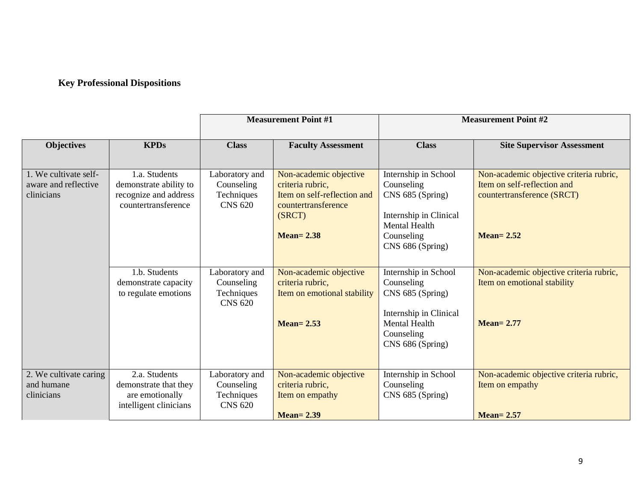## **Key Professional Dispositions**

|                                                             |                                                                                         | <b>Measurement Point #1</b>                                  |                                                                                                                             | <b>Measurement Point #2</b>                                                                                                                |                                                                                                                       |
|-------------------------------------------------------------|-----------------------------------------------------------------------------------------|--------------------------------------------------------------|-----------------------------------------------------------------------------------------------------------------------------|--------------------------------------------------------------------------------------------------------------------------------------------|-----------------------------------------------------------------------------------------------------------------------|
| <b>Objectives</b>                                           | <b>KPDs</b>                                                                             | <b>Class</b>                                                 | <b>Faculty Assessment</b>                                                                                                   | <b>Class</b>                                                                                                                               | <b>Site Supervisor Assessment</b>                                                                                     |
| 1. We cultivate self-<br>aware and reflective<br>clinicians | 1.a. Students<br>demonstrate ability to<br>recognize and address<br>countertransference | Laboratory and<br>Counseling<br>Techniques<br><b>CNS 620</b> | Non-academic objective<br>criteria rubric,<br>Item on self-reflection and<br>countertransference<br>(SRCT)<br>$Mean = 2.38$ | Internship in School<br>Counseling<br>CNS 685 (Spring)<br>Internship in Clinical<br><b>Mental Health</b><br>Counseling<br>CNS 686 (Spring) | Non-academic objective criteria rubric,<br>Item on self-reflection and<br>countertransference (SRCT)<br>$Mean = 2.52$ |
|                                                             | 1.b. Students<br>demonstrate capacity<br>to regulate emotions                           | Laboratory and<br>Counseling<br>Techniques<br><b>CNS 620</b> | Non-academic objective<br>criteria rubric,<br>Item on emotional stability<br>$Mean = 2.53$                                  | Internship in School<br>Counseling<br>CNS 685 (Spring)<br>Internship in Clinical<br><b>Mental Health</b><br>Counseling<br>CNS 686 (Spring) | Non-academic objective criteria rubric,<br>Item on emotional stability<br><b>Mean=2.77</b>                            |
| 2. We cultivate caring<br>and humane<br>clinicians          | 2.a. Students<br>demonstrate that they<br>are emotionally<br>intelligent clinicians     | Laboratory and<br>Counseling<br>Techniques<br><b>CNS 620</b> | Non-academic objective<br>criteria rubric,<br>Item on empathy<br><b>Mean=2.39</b>                                           | Internship in School<br>Counseling<br>CNS 685 (Spring)                                                                                     | Non-academic objective criteria rubric,<br>Item on empathy<br><b>Mean=2.57</b>                                        |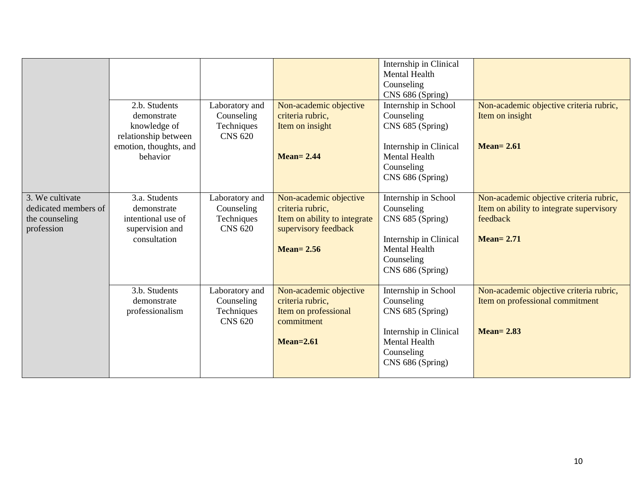|                                                                         | 2.b. Students<br>demonstrate<br>knowledge of<br>relationship between<br>emotion, thoughts, and<br>behavior | Laboratory and<br>Counseling<br>Techniques<br><b>CNS 620</b> | Non-academic objective<br>criteria rubric,<br>Item on insight<br><b>Mean= 2.44</b>                                  | Internship in Clinical<br><b>Mental Health</b><br>Counseling<br>CNS 686 (Spring)<br>Internship in School<br>Counseling<br>CNS 685 (Spring)<br>Internship in Clinical<br><b>Mental Health</b> | Non-academic objective criteria rubric,<br>Item on insight<br>$Mean = 2.61$                                         |
|-------------------------------------------------------------------------|------------------------------------------------------------------------------------------------------------|--------------------------------------------------------------|---------------------------------------------------------------------------------------------------------------------|----------------------------------------------------------------------------------------------------------------------------------------------------------------------------------------------|---------------------------------------------------------------------------------------------------------------------|
|                                                                         |                                                                                                            |                                                              |                                                                                                                     | Counseling<br>CNS 686 (Spring)                                                                                                                                                               |                                                                                                                     |
| 3. We cultivate<br>dedicated members of<br>the counseling<br>profession | 3.a. Students<br>demonstrate<br>intentional use of<br>supervision and<br>consultation                      | Laboratory and<br>Counseling<br>Techniques<br><b>CNS 620</b> | Non-academic objective<br>criteria rubric,<br>Item on ability to integrate<br>supervisory feedback<br>$Mean = 2.56$ | Internship in School<br>Counseling<br>CNS 685 (Spring)<br>Internship in Clinical<br><b>Mental Health</b><br>Counseling<br>CNS 686 (Spring)                                                   | Non-academic objective criteria rubric,<br>Item on ability to integrate supervisory<br>feedback<br><b>Mean=2.71</b> |
|                                                                         | 3.b. Students<br>demonstrate<br>professionalism                                                            | Laboratory and<br>Counseling<br>Techniques<br><b>CNS 620</b> | Non-academic objective<br>criteria rubric,<br>Item on professional<br>commitment<br>$Mean = 2.61$                   | Internship in School<br>Counseling<br>CNS 685 (Spring)<br>Internship in Clinical<br><b>Mental Health</b><br>Counseling<br>CNS 686 (Spring)                                                   | Non-academic objective criteria rubric,<br>Item on professional commitment<br>$Mean = 2.83$                         |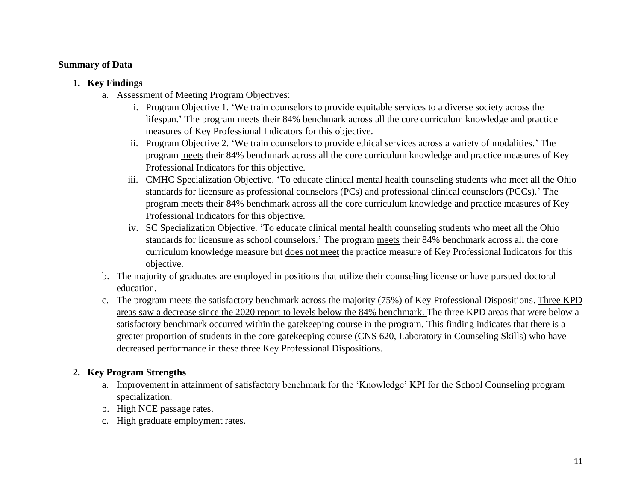#### **Summary of Data**

- **1. Key Findings**
	- a. Assessment of Meeting Program Objectives:
		- i. Program Objective 1. 'We train counselors to provide equitable services to a diverse society across the lifespan.' The program meets their 84% benchmark across all the core curriculum knowledge and practice measures of Key Professional Indicators for this objective.
		- ii. Program Objective 2. 'We train counselors to provide ethical services across a variety of modalities.' The program meets their 84% benchmark across all the core curriculum knowledge and practice measures of Key Professional Indicators for this objective.
		- iii. CMHC Specialization Objective. 'To educate clinical mental health counseling students who meet all the Ohio standards for licensure as professional counselors (PCs) and professional clinical counselors (PCCs).' The program meets their 84% benchmark across all the core curriculum knowledge and practice measures of Key Professional Indicators for this objective.
		- iv. SC Specialization Objective. 'To educate clinical mental health counseling students who meet all the Ohio standards for licensure as school counselors.' The program meets their 84% benchmark across all the core curriculum knowledge measure but does not meet the practice measure of Key Professional Indicators for this objective.
	- b. The majority of graduates are employed in positions that utilize their counseling license or have pursued doctoral education.
	- c. The program meets the satisfactory benchmark across the majority (75%) of Key Professional Dispositions. Three KPD areas saw a decrease since the 2020 report to levels below the 84% benchmark. The three KPD areas that were below a satisfactory benchmark occurred within the gatekeeping course in the program. This finding indicates that there is a greater proportion of students in the core gatekeeping course (CNS 620, Laboratory in Counseling Skills) who have decreased performance in these three Key Professional Dispositions.

### **2. Key Program Strengths**

- a. Improvement in attainment of satisfactory benchmark for the 'Knowledge' KPI for the School Counseling program specialization.
- b. High NCE passage rates.
- c. High graduate employment rates.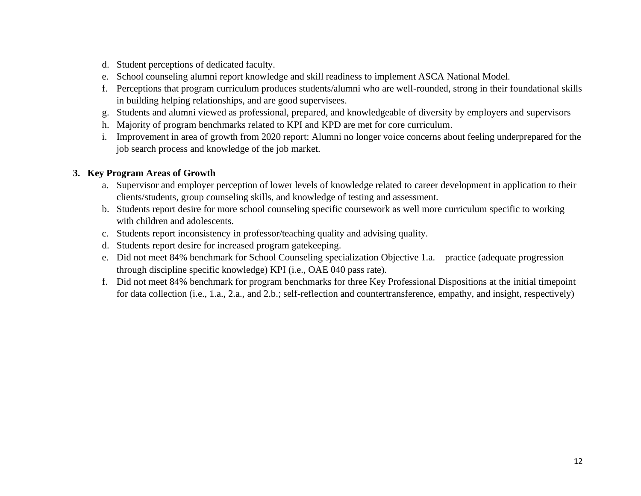- d. Student perceptions of dedicated faculty.
- e. School counseling alumni report knowledge and skill readiness to implement ASCA National Model.
- f. Perceptions that program curriculum produces students/alumni who are well-rounded, strong in their foundational skills in building helping relationships, and are good supervisees.
- g. Students and alumni viewed as professional, prepared, and knowledgeable of diversity by employers and supervisors
- h. Majority of program benchmarks related to KPI and KPD are met for core curriculum.
- i. Improvement in area of growth from 2020 report: Alumni no longer voice concerns about feeling underprepared for the job search process and knowledge of the job market.

### **3. Key Program Areas of Growth**

- a. Supervisor and employer perception of lower levels of knowledge related to career development in application to their clients/students, group counseling skills, and knowledge of testing and assessment.
- b. Students report desire for more school counseling specific coursework as well more curriculum specific to working with children and adolescents.
- c. Students report inconsistency in professor/teaching quality and advising quality.
- d. Students report desire for increased program gatekeeping.
- e. Did not meet 84% benchmark for School Counseling specialization Objective 1.a. practice (adequate progression through discipline specific knowledge) KPI (i.e., OAE 040 pass rate).
- f. Did not meet 84% benchmark for program benchmarks for three Key Professional Dispositions at the initial timepoint for data collection (i.e., 1.a., 2.a., and 2.b.; self-reflection and countertransference, empathy, and insight, respectively)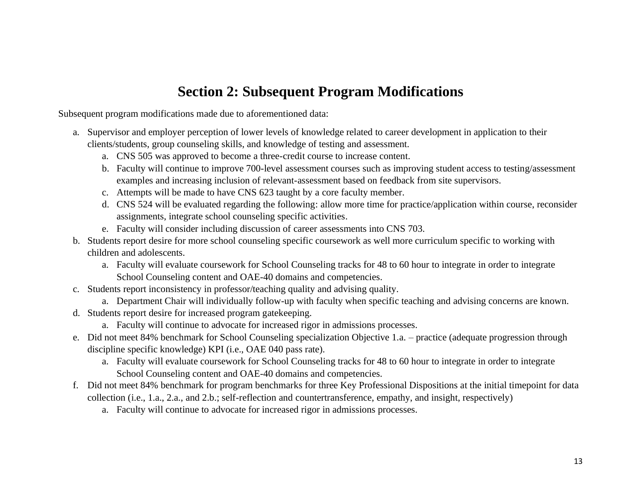# **Section 2: Subsequent Program Modifications**

Subsequent program modifications made due to aforementioned data:

- a. Supervisor and employer perception of lower levels of knowledge related to career development in application to their clients/students, group counseling skills, and knowledge of testing and assessment.
	- a. CNS 505 was approved to become a three-credit course to increase content.
	- b. Faculty will continue to improve 700-level assessment courses such as improving student access to testing/assessment examples and increasing inclusion of relevant-assessment based on feedback from site supervisors.
	- c. Attempts will be made to have CNS 623 taught by a core faculty member.
	- d. CNS 524 will be evaluated regarding the following: allow more time for practice/application within course, reconsider assignments, integrate school counseling specific activities.
	- e. Faculty will consider including discussion of career assessments into CNS 703.
- b. Students report desire for more school counseling specific coursework as well more curriculum specific to working with children and adolescents.
	- a. Faculty will evaluate coursework for School Counseling tracks for 48 to 60 hour to integrate in order to integrate School Counseling content and OAE-40 domains and competencies.
- c. Students report inconsistency in professor/teaching quality and advising quality.
	- a. Department Chair will individually follow-up with faculty when specific teaching and advising concerns are known.
- d. Students report desire for increased program gatekeeping.
	- a. Faculty will continue to advocate for increased rigor in admissions processes.
- e. Did not meet 84% benchmark for School Counseling specialization Objective 1.a. practice (adequate progression through discipline specific knowledge) KPI (i.e., OAE 040 pass rate).
	- a. Faculty will evaluate coursework for School Counseling tracks for 48 to 60 hour to integrate in order to integrate School Counseling content and OAE-40 domains and competencies.
- f. Did not meet 84% benchmark for program benchmarks for three Key Professional Dispositions at the initial timepoint for data collection (i.e., 1.a., 2.a., and 2.b.; self-reflection and countertransference, empathy, and insight, respectively)
	- a. Faculty will continue to advocate for increased rigor in admissions processes.